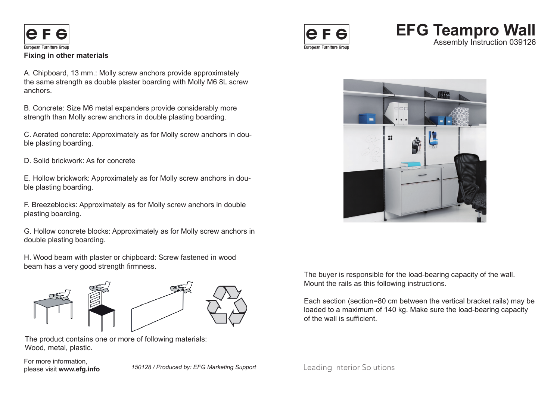

## **Fixing in other materials**

A. Chipboard, 13 mm.: Molly screw anchors provide approximately the same strength as double plaster boarding with Molly M6 8L screw anchors.

B. Concrete: Size M6 metal expanders provide considerably more strength than Molly screw anchors in double plasting boarding.

C. Aerated concrete: Approximately as for Molly screw anchors in double plasting boarding.

D. Solid brickwork: As for concrete

E. Hollow brickwork: Approximately as for Molly screw anchors in double plasting boarding.

F. Breezeblocks: Approximately as for Molly screw anchors in double plasting boarding.

G. Hollow concrete blocks: Approximately as for Molly screw anchors in double plasting boarding.

H. Wood beam with plaster or chipboard: Screw fastened in wood beam has a very good strength firmness.



The product contains one or more of following materials: Wood, metal, plastic.

For more information,<br>please visit www.efg.info

please visit **www.efg.info** *150128 / Produced by: EFG Marketing Support*



## **EFG Teampro Wall**  Assembly Instruction 039126



The buyer is responsible for the load-bearing capacity of the wall. Mount the rails as this following instructions.

Each section (section=80 cm between the vertical bracket rails) may be loaded to a maximum of 140 kg. Make sure the load-bearing capacity of the wall is sufficient.

Leading Interior Solutions